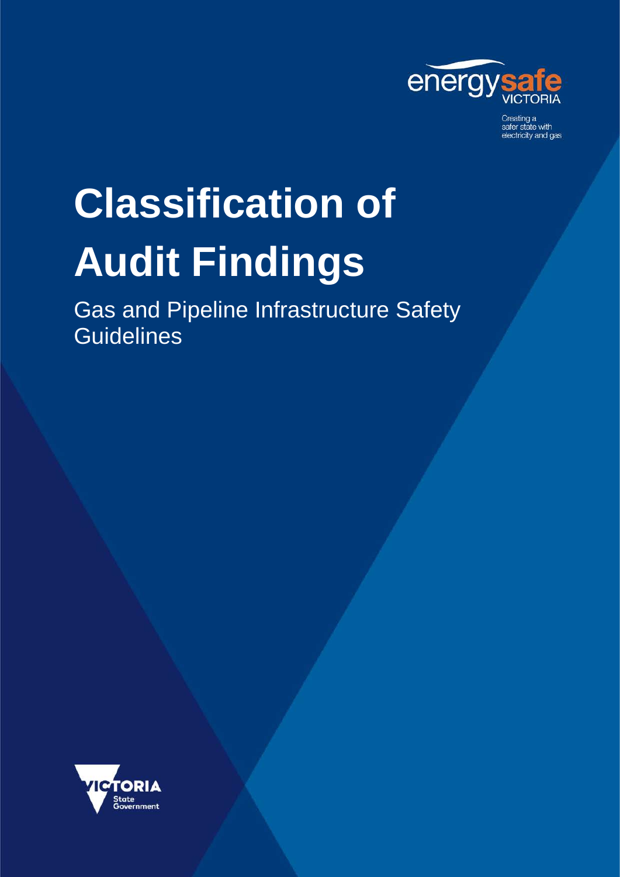

Creating a<br>safer state with electricity and gas

# **Classification of Audit Findings**

Gas and Pipeline Infrastructure Safety **Guidelines** 

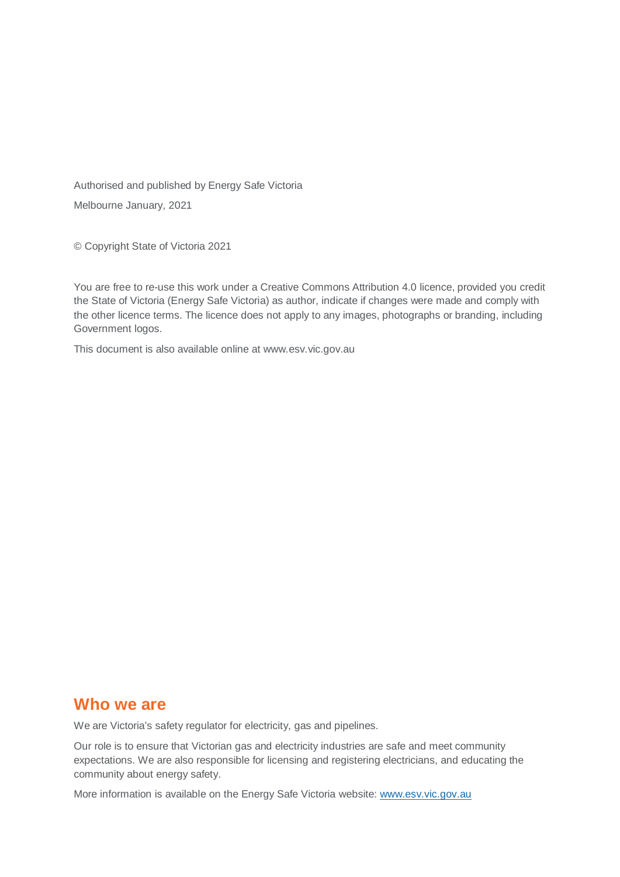Authorised and published by Energy Safe Victoria Melbourne January, 2021

© Copyright State of Victoria 2021

You are free to re-use this work under a Creative Commons Attribution 4.0 licence, provided you credit the State of Victoria (Energy Safe Victoria) as author, indicate if changes were made and comply with the other licence terms. The licence does not apply to any images, photographs or branding, including Government logos.

This document is also available online at www.esv.vic.gov.au

#### **Who we are**

We are Victoria's safety regulator for electricity, gas and pipelines.

Our role is to ensure that Victorian gas and electricity industries are safe and meet community expectations. We are also responsible for licensing and registering electricians, and educating the community about energy safety.

More information is available on the Energy Safe Victoria website: [www.esv.vic.gov.au](http://www.esv.vic.gov.au/)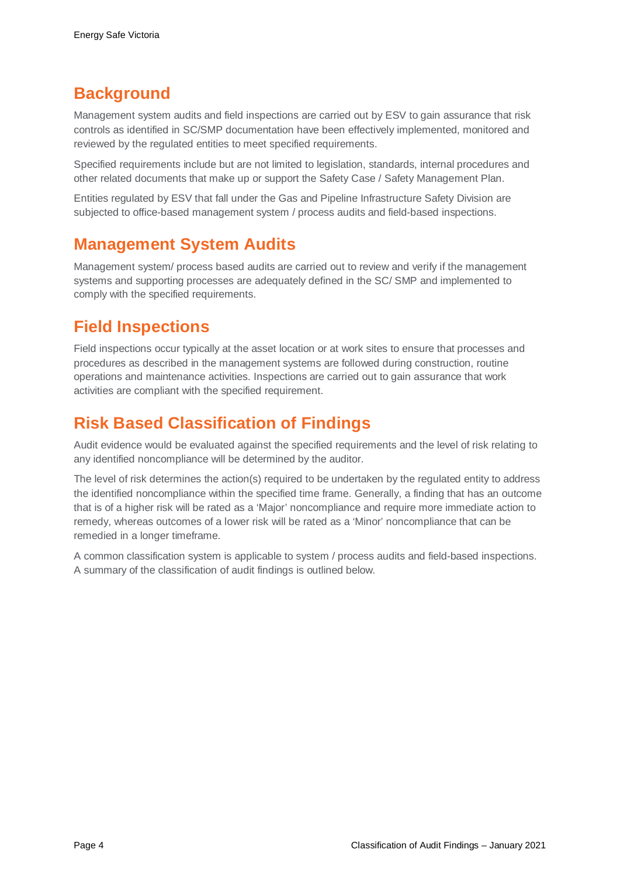# **Background**

Management system audits and field inspections are carried out by ESV to gain assurance that risk controls as identified in SC/SMP documentation have been effectively implemented, monitored and reviewed by the regulated entities to meet specified requirements.

Specified requirements include but are not limited to legislation, standards, internal procedures and other related documents that make up or support the Safety Case / Safety Management Plan.

Entities regulated by ESV that fall under the Gas and Pipeline Infrastructure Safety Division are subjected to office-based management system / process audits and field-based inspections.

### **Management System Audits**

Management system/ process based audits are carried out to review and verify if the management systems and supporting processes are adequately defined in the SC/ SMP and implemented to comply with the specified requirements.

# **Field Inspections**

Field inspections occur typically at the asset location or at work sites to ensure that processes and procedures as described in the management systems are followed during construction, routine operations and maintenance activities. Inspections are carried out to gain assurance that work activities are compliant with the specified requirement.

# **Risk Based Classification of Findings**

Audit evidence would be evaluated against the specified requirements and the level of risk relating to any identified noncompliance will be determined by the auditor.

The level of risk determines the action(s) required to be undertaken by the regulated entity to address the identified noncompliance within the specified time frame. Generally, a finding that has an outcome that is of a higher risk will be rated as a 'Major' noncompliance and require more immediate action to remedy, whereas outcomes of a lower risk will be rated as a 'Minor' noncompliance that can be remedied in a longer timeframe.

A common classification system is applicable to system / process audits and field-based inspections. A summary of the classification of audit findings is outlined below.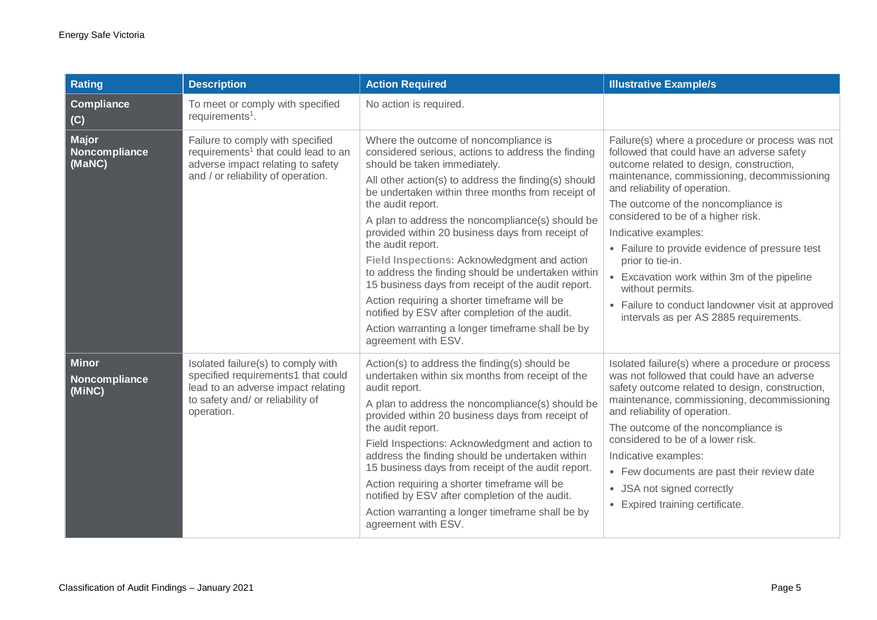| Rating                                  | <b>Description</b>                                                                                                                                               | <b>Action Required</b>                                                                                                                                                                                                                                                                                                                                                                                                                                                                                                                                                                                                                                                                                                              | <b>Illustrative Example/s</b>                                                                                                                                                                                                                                                                                                                                                                                                                                                                                                                                         |
|-----------------------------------------|------------------------------------------------------------------------------------------------------------------------------------------------------------------|-------------------------------------------------------------------------------------------------------------------------------------------------------------------------------------------------------------------------------------------------------------------------------------------------------------------------------------------------------------------------------------------------------------------------------------------------------------------------------------------------------------------------------------------------------------------------------------------------------------------------------------------------------------------------------------------------------------------------------------|-----------------------------------------------------------------------------------------------------------------------------------------------------------------------------------------------------------------------------------------------------------------------------------------------------------------------------------------------------------------------------------------------------------------------------------------------------------------------------------------------------------------------------------------------------------------------|
| Compliance<br>(C)                       | To meet or comply with specified<br>requirements <sup>1</sup> .                                                                                                  | No action is required.                                                                                                                                                                                                                                                                                                                                                                                                                                                                                                                                                                                                                                                                                                              |                                                                                                                                                                                                                                                                                                                                                                                                                                                                                                                                                                       |
| <b>Major</b><br>Noncompliance<br>(MaNC) | Failure to comply with specified<br>requirements <sup>1</sup> that could lead to an<br>adverse impact relating to safety<br>and / or reliability of operation.   | Where the outcome of noncompliance is<br>considered serious, actions to address the finding<br>should be taken immediately.<br>All other action(s) to address the finding(s) should<br>be undertaken within three months from receipt of<br>the audit report.<br>A plan to address the noncompliance(s) should be<br>provided within 20 business days from receipt of<br>the audit report.<br>Field Inspections: Acknowledgment and action<br>to address the finding should be undertaken within<br>15 business days from receipt of the audit report.<br>Action requiring a shorter timeframe will be<br>notified by ESV after completion of the audit.<br>Action warranting a longer timeframe shall be by<br>agreement with ESV. | Failure(s) where a procedure or process was not<br>followed that could have an adverse safety<br>outcome related to design, construction,<br>maintenance, commissioning, decommissioning<br>and reliability of operation.<br>The outcome of the noncompliance is<br>considered to be of a higher risk.<br>Indicative examples:<br>• Failure to provide evidence of pressure test<br>prior to tie-in.<br>• Excavation work within 3m of the pipeline<br>without permits.<br>• Failure to conduct landowner visit at approved<br>intervals as per AS 2885 requirements. |
| <b>Minor</b><br>Noncompliance<br>(MINC) | Isolated failure(s) to comply with<br>specified requirements1 that could<br>lead to an adverse impact relating<br>to safety and/ or reliability of<br>operation. | Action(s) to address the finding(s) should be<br>undertaken within six months from receipt of the<br>audit report.<br>A plan to address the noncompliance(s) should be<br>provided within 20 business days from receipt of<br>the audit report.<br>Field Inspections: Acknowledgment and action to<br>address the finding should be undertaken within<br>15 business days from receipt of the audit report.<br>Action requiring a shorter timeframe will be<br>notified by ESV after completion of the audit.<br>Action warranting a longer timeframe shall be by<br>agreement with ESV.                                                                                                                                            | Isolated failure(s) where a procedure or process<br>was not followed that could have an adverse<br>safety outcome related to design, construction,<br>maintenance, commissioning, decommissioning<br>and reliability of operation.<br>The outcome of the noncompliance is<br>considered to be of a lower risk.<br>Indicative examples:<br>• Few documents are past their review date<br>• JSA not signed correctly<br>• Expired training certificate.                                                                                                                 |